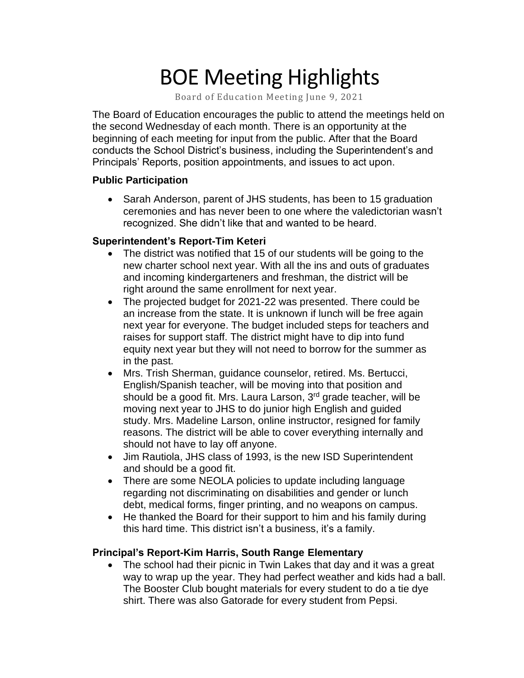# BOE Meeting Highlights

Board of Education Meeting June 9, 2021

 The Board of Education encourages the public to attend the meetings held on the second Wednesday of each month. There is an opportunity at the beginning of each meeting for input from the public. After that the Board conducts the School District's business, including the Superintendent's and Principals' Reports, position appointments, and issues to act upon.

### **Public Participation**

 • Sarah Anderson, parent of JHS students, has been to 15 graduation ceremonies and has never been to one where the valedictorian wasn't recognized. She didn't like that and wanted to be heard.

### **Superintendent's Report-Tim Keteri**

- The district was notified that 15 of our students will be going to the new charter school next year. With all the ins and outs of graduates and incoming kindergarteners and freshman, the district will be right around the same enrollment for next year.
- The projected budget for 2021-22 was presented. There could be an increase from the state. It is unknown if lunch will be free again next year for everyone. The budget included steps for teachers and raises for support staff. The district might have to dip into fund equity next year but they will not need to borrow for the summer as in the past.
- Mrs. Trish Sherman, guidance counselor, retired. Ms. Bertucci, English/Spanish teacher, will be moving into that position and should be a good fit. Mrs. Laura Larson,  $3<sup>rd</sup>$  grade teacher, will be moving next year to JHS to do junior high English and guided study. Mrs. Madeline Larson, online instructor, resigned for family reasons. The district will be able to cover everything internally and should not have to lay off anyone.
- Jim Rautiola, JHS class of 1993, is the new ISD Superintendent and should be a good fit.
- There are some NEOLA policies to update including language regarding not discriminating on disabilities and gender or lunch debt, medical forms, finger printing, and no weapons on campus.
- He thanked the Board for their support to him and his family during this hard time. This district isn't a business, it's a family.

## **Principal's Report-Kim Harris, South Range Elementary**

 • The school had their picnic in Twin Lakes that day and it was a great way to wrap up the year. They had perfect weather and kids had a ball. The Booster Club bought materials for every student to do a tie dye shirt. There was also Gatorade for every student from Pepsi.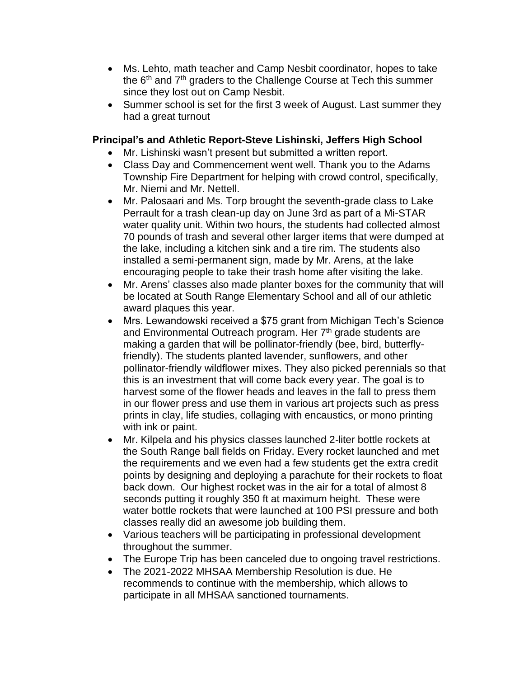- • Ms. Lehto, math teacher and Camp Nesbit coordinator, hopes to take the  $6<sup>th</sup>$  and  $7<sup>th</sup>$  graders to the Challenge Course at Tech this summer since they lost out on Camp Nesbit.
- • Summer school is set for the first 3 week of August. Last summer they had a great turnout

## **Principal's and Athletic Report-Steve Lishinski, Jeffers High School**

- Mr. Lishinski wasn't present but submitted a written report.
- • Class Day and Commencement went well. Thank you to the Adams Township Fire Department for helping with crowd control, specifically, Mr. Niemi and Mr. Nettell.
- • Mr. Palosaari and Ms. Torp brought the seventh-grade class to Lake Perrault for a trash clean-up day on June 3rd as part of a Mi-STAR water quality unit. Within two hours, the students had collected almost 70 pounds of trash and several other larger items that were dumped at the lake, including a kitchen sink and a tire rim. The students also installed a semi-permanent sign, made by Mr. Arens, at the lake encouraging people to take their trash home after visiting the lake.
- • Mr. Arens' classes also made planter boxes for the community that will be located at South Range Elementary School and all of our athletic award plaques this year.
- • Mrs. Lewandowski received a \$75 grant from Michigan Tech's Science and Environmental Outreach program. Her 7<sup>th</sup> grade students are making a garden that will be pollinator-friendly (bee, bird, butterfly- friendly). The students planted lavender, sunflowers, and other pollinator-friendly wildflower mixes. They also picked perennials so that this is an investment that will come back every year. The goal is to harvest some of the flower heads and leaves in the fall to press them in our flower press and use them in various art projects such as press prints in clay, life studies, collaging with encaustics, or mono printing with ink or paint.
- • Mr. Kilpela and his physics classes launched 2-liter bottle rockets at the South Range ball fields on Friday. Every rocket launched and met the requirements and we even had a few students get the extra credit points by designing and deploying a parachute for their rockets to float back down. Our highest rocket was in the air for a total of almost 8 seconds putting it roughly 350 ft at maximum height. These were water bottle rockets that were launched at 100 PSI pressure and both classes really did an awesome job building them.
- • Various teachers will be participating in professional development throughout the summer.
- The Europe Trip has been canceled due to ongoing travel restrictions.
- • The 2021-2022 MHSAA Membership Resolution is due. He recommends to continue with the membership, which allows to participate in all MHSAA sanctioned tournaments.